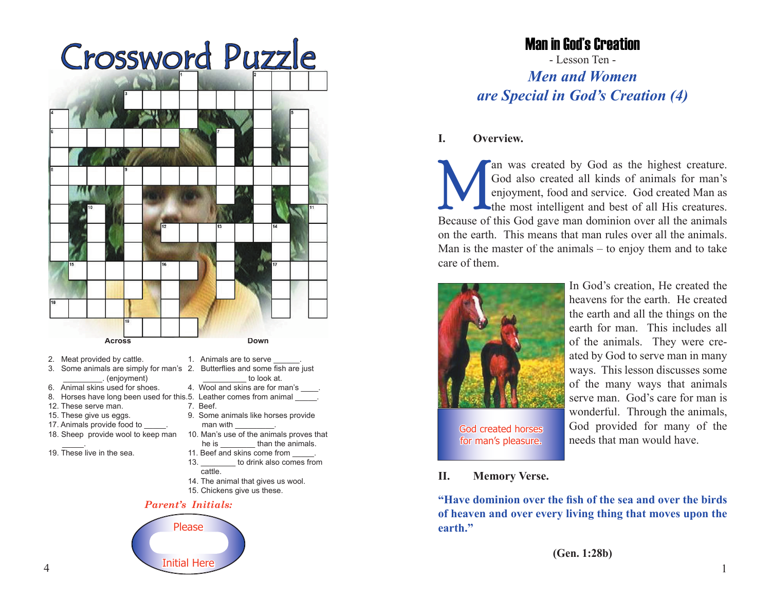# Crossword Puzzle



- 2. Meat provided by cattle.
- 
- \_\_\_\_\_\_\_\_\_. (enjoyment)
- 6. Animal skins used for shoes.
- 8. Horses have long been used for this.5. Leather comes from animal \_\_\_\_\_.
- 12. These serve man.
- 15. These give us eggs.
- 17. Animals provide food to
- 18. Sheep provide wool to keep man
- \_\_\_\_\_. 19. These live in the sea.
- 3. Some animals are simply for man's 2. Butterflies and some fish are just 1. Animals are to serve to look at. 4. Wool and skins are for man's ... 7. Beef. 9. Some animals like horses provide man with 10. Man's use of the animals proves that he is \_\_\_\_\_\_\_\_\_ than the animals. 11. Beef and skins come from
	- 13. **to drink also comes from**  cattle. 14. The animal that gives us wool.
	- 15. Chickens give us these.

#### *Parent's Initials:*



# Man in God's Creation

- Lesson Ten - *Men and Women are Special in God's Creation (4)*

## **I. Overview.**

an was created by God as the highest creature.<br>
God also created all kinds of animals for man's<br>
enjoyment, food and service. God created Man as<br>
the most intelligent and best of all His creatures.<br>
Because of this God gav God also created all kinds of animals for man's enjoyment, food and service. God created Man as the most intelligent and best of all His creatures. Because of this God gave man dominion over all the animals on the earth. This means that man rules over all the animals. Man is the master of the animals – to enjoy them and to take care of them.



In God's creation, He created the heavens for the earth. He created the earth and all the things on the earth for man. This includes all of the animals. They were created by God to serve man in many ways. This lesson discusses some of the many ways that animals serve man. God's care for man is wonderful. Through the animals, God provided for many of the needs that man would have.

**II. Memory Verse.**

**"Have dominion over the fish of the sea and over the birds of heaven and over every living thing that moves upon the earth."**